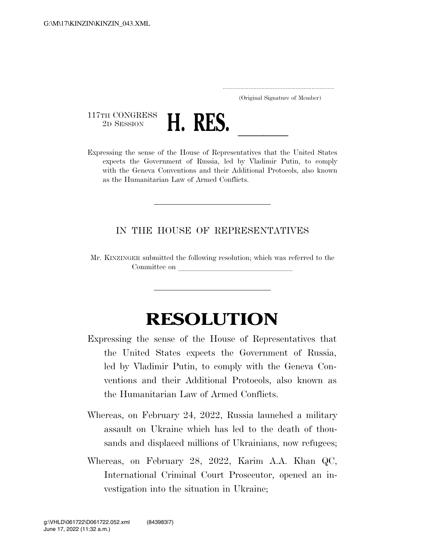..................................................................... (Original Signature of Member)

117TH CONGRESS<br>2D SESSION



2D SESSION **H. RES.** <u>Lexpressing the sense of the House of Representatives that the United States</u> expects the Government of Russia, led by Vladimir Putin, to comply with the Geneva Conventions and their Additional Protocols, also known as the Humanitarian Law of Armed Conflicts.

## IN THE HOUSE OF REPRESENTATIVES

Mr. KINZINGER submitted the following resolution; which was referred to the Committee on

## **RESOLUTION**

- Expressing the sense of the House of Representatives that the United States expects the Government of Russia, led by Vladimir Putin, to comply with the Geneva Conventions and their Additional Protocols, also known as the Humanitarian Law of Armed Conflicts.
- Whereas, on February 24, 2022, Russia launched a military assault on Ukraine which has led to the death of thousands and displaced millions of Ukrainians, now refugees;
- Whereas, on February 28, 2022, Karim A.A. Khan QC, International Criminal Court Prosecutor, opened an investigation into the situation in Ukraine;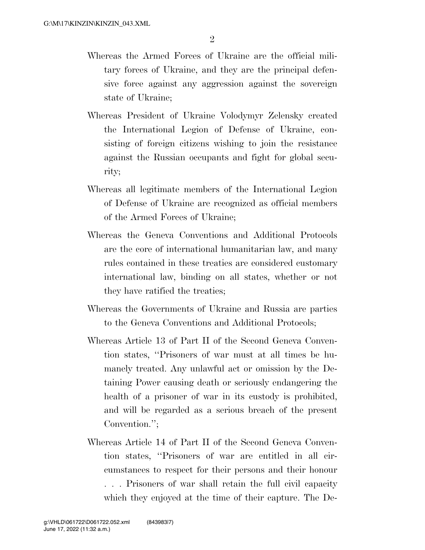- Whereas the Armed Forces of Ukraine are the official military forces of Ukraine, and they are the principal defensive force against any aggression against the sovereign state of Ukraine;
- Whereas President of Ukraine Volodymyr Zelensky created the International Legion of Defense of Ukraine, consisting of foreign citizens wishing to join the resistance against the Russian occupants and fight for global security;
- Whereas all legitimate members of the International Legion of Defense of Ukraine are recognized as official members of the Armed Forces of Ukraine;
- Whereas the Geneva Conventions and Additional Protocols are the core of international humanitarian law, and many rules contained in these treaties are considered customary international law, binding on all states, whether or not they have ratified the treaties;
- Whereas the Governments of Ukraine and Russia are parties to the Geneva Conventions and Additional Protocols;
- Whereas Article 13 of Part II of the Second Geneva Convention states, ''Prisoners of war must at all times be humanely treated. Any unlawful act or omission by the Detaining Power causing death or seriously endangering the health of a prisoner of war in its custody is prohibited, and will be regarded as a serious breach of the present Convention.'';
- Whereas Article 14 of Part II of the Second Geneva Convention states, ''Prisoners of war are entitled in all circumstances to respect for their persons and their honour . . . Prisoners of war shall retain the full civil capacity which they enjoyed at the time of their capture. The De-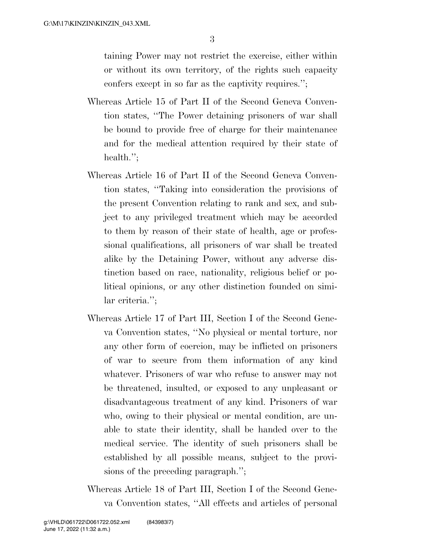3

taining Power may not restrict the exercise, either within or without its own territory, of the rights such capacity confers except in so far as the captivity requires.'';

- Whereas Article 15 of Part II of the Second Geneva Convention states, ''The Power detaining prisoners of war shall be bound to provide free of charge for their maintenance and for the medical attention required by their state of health.":
- Whereas Article 16 of Part II of the Second Geneva Convention states, ''Taking into consideration the provisions of the present Convention relating to rank and sex, and subject to any privileged treatment which may be accorded to them by reason of their state of health, age or professional qualifications, all prisoners of war shall be treated alike by the Detaining Power, without any adverse distinction based on race, nationality, religious belief or political opinions, or any other distinction founded on similar criteria.'';
- Whereas Article 17 of Part III, Section I of the Second Geneva Convention states, ''No physical or mental torture, nor any other form of coercion, may be inflicted on prisoners of war to secure from them information of any kind whatever. Prisoners of war who refuse to answer may not be threatened, insulted, or exposed to any unpleasant or disadvantageous treatment of any kind. Prisoners of war who, owing to their physical or mental condition, are unable to state their identity, shall be handed over to the medical service. The identity of such prisoners shall be established by all possible means, subject to the provisions of the preceding paragraph.'';
- Whereas Article 18 of Part III, Section I of the Second Geneva Convention states, ''All effects and articles of personal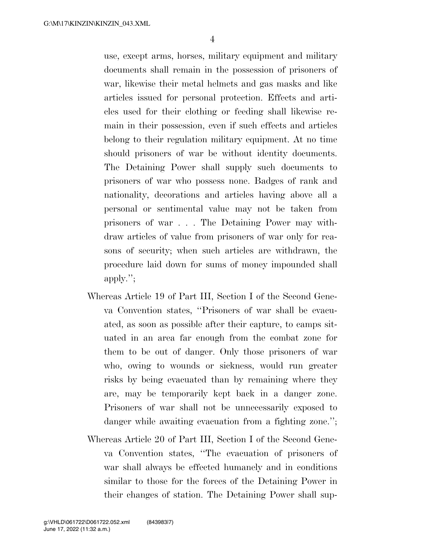use, except arms, horses, military equipment and military documents shall remain in the possession of prisoners of war, likewise their metal helmets and gas masks and like articles issued for personal protection. Effects and articles used for their clothing or feeding shall likewise remain in their possession, even if such effects and articles belong to their regulation military equipment. At no time should prisoners of war be without identity documents. The Detaining Power shall supply such documents to prisoners of war who possess none. Badges of rank and nationality, decorations and articles having above all a personal or sentimental value may not be taken from prisoners of war . . . The Detaining Power may withdraw articles of value from prisoners of war only for reasons of security; when such articles are withdrawn, the procedure laid down for sums of money impounded shall apply.'';

- Whereas Article 19 of Part III, Section I of the Second Geneva Convention states, ''Prisoners of war shall be evacuated, as soon as possible after their capture, to camps situated in an area far enough from the combat zone for them to be out of danger. Only those prisoners of war who, owing to wounds or sickness, would run greater risks by being evacuated than by remaining where they are, may be temporarily kept back in a danger zone. Prisoners of war shall not be unnecessarily exposed to danger while awaiting evacuation from a fighting zone.";
- Whereas Article 20 of Part III, Section I of the Second Geneva Convention states, ''The evacuation of prisoners of war shall always be effected humanely and in conditions similar to those for the forces of the Detaining Power in their changes of station. The Detaining Power shall sup-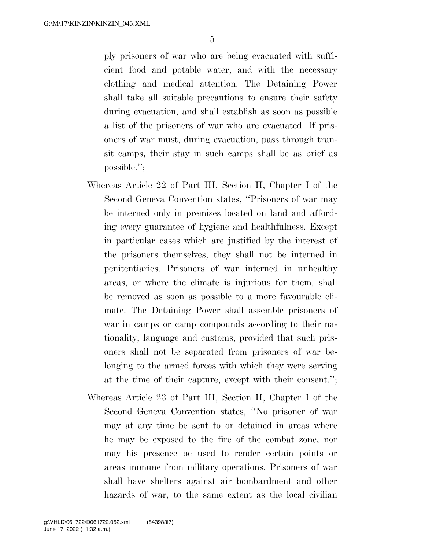ply prisoners of war who are being evacuated with sufficient food and potable water, and with the necessary clothing and medical attention. The Detaining Power shall take all suitable precautions to ensure their safety during evacuation, and shall establish as soon as possible a list of the prisoners of war who are evacuated. If prisoners of war must, during evacuation, pass through transit camps, their stay in such camps shall be as brief as possible.'';

- Whereas Article 22 of Part III, Section II, Chapter I of the Second Geneva Convention states, ''Prisoners of war may be interned only in premises located on land and affording every guarantee of hygiene and healthfulness. Except in particular cases which are justified by the interest of the prisoners themselves, they shall not be interned in penitentiaries. Prisoners of war interned in unhealthy areas, or where the climate is injurious for them, shall be removed as soon as possible to a more favourable climate. The Detaining Power shall assemble prisoners of war in camps or camp compounds according to their nationality, language and customs, provided that such prisoners shall not be separated from prisoners of war belonging to the armed forces with which they were serving at the time of their capture, except with their consent.'';
- Whereas Article 23 of Part III, Section II, Chapter I of the Second Geneva Convention states, ''No prisoner of war may at any time be sent to or detained in areas where he may be exposed to the fire of the combat zone, nor may his presence be used to render certain points or areas immune from military operations. Prisoners of war shall have shelters against air bombardment and other hazards of war, to the same extent as the local civilian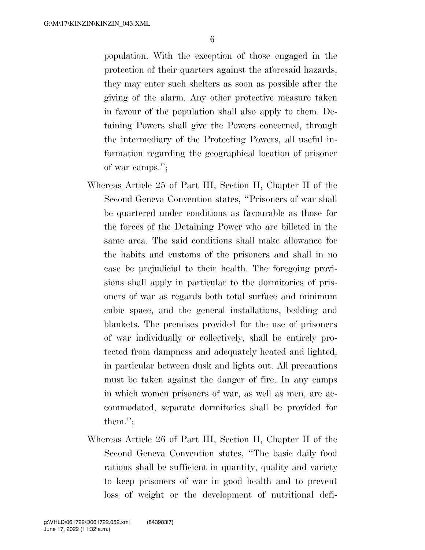population. With the exception of those engaged in the protection of their quarters against the aforesaid hazards, they may enter such shelters as soon as possible after the giving of the alarm. Any other protective measure taken in favour of the population shall also apply to them. Detaining Powers shall give the Powers concerned, through the intermediary of the Protecting Powers, all useful information regarding the geographical location of prisoner of war camps.'';

- Whereas Article 25 of Part III, Section II, Chapter II of the Second Geneva Convention states, ''Prisoners of war shall be quartered under conditions as favourable as those for the forces of the Detaining Power who are billeted in the same area. The said conditions shall make allowance for the habits and customs of the prisoners and shall in no case be prejudicial to their health. The foregoing provisions shall apply in particular to the dormitories of prisoners of war as regards both total surface and minimum cubic space, and the general installations, bedding and blankets. The premises provided for the use of prisoners of war individually or collectively, shall be entirely protected from dampness and adequately heated and lighted, in particular between dusk and lights out. All precautions must be taken against the danger of fire. In any camps in which women prisoners of war, as well as men, are accommodated, separate dormitories shall be provided for them.'';
- Whereas Article 26 of Part III, Section II, Chapter II of the Second Geneva Convention states, ''The basic daily food rations shall be sufficient in quantity, quality and variety to keep prisoners of war in good health and to prevent loss of weight or the development of nutritional defi-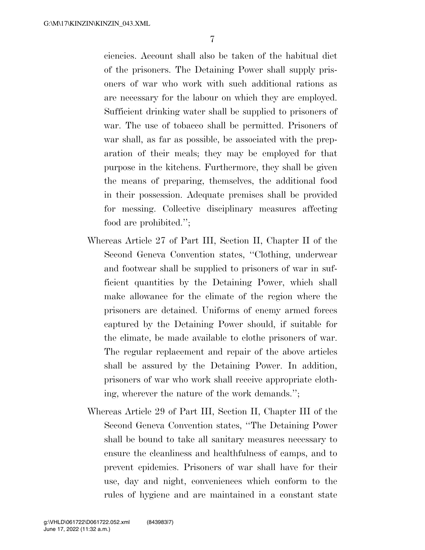7

ciencies. Account shall also be taken of the habitual diet of the prisoners. The Detaining Power shall supply prisoners of war who work with such additional rations as are necessary for the labour on which they are employed. Sufficient drinking water shall be supplied to prisoners of war. The use of tobacco shall be permitted. Prisoners of war shall, as far as possible, be associated with the preparation of their meals; they may be employed for that purpose in the kitchens. Furthermore, they shall be given the means of preparing, themselves, the additional food in their possession. Adequate premises shall be provided for messing. Collective disciplinary measures affecting food are prohibited.'';

- Whereas Article 27 of Part III, Section II, Chapter II of the Second Geneva Convention states, ''Clothing, underwear and footwear shall be supplied to prisoners of war in sufficient quantities by the Detaining Power, which shall make allowance for the climate of the region where the prisoners are detained. Uniforms of enemy armed forces captured by the Detaining Power should, if suitable for the climate, be made available to clothe prisoners of war. The regular replacement and repair of the above articles shall be assured by the Detaining Power. In addition, prisoners of war who work shall receive appropriate clothing, wherever the nature of the work demands.'';
- Whereas Article 29 of Part III, Section II, Chapter III of the Second Geneva Convention states, ''The Detaining Power shall be bound to take all sanitary measures necessary to ensure the cleanliness and healthfulness of camps, and to prevent epidemics. Prisoners of war shall have for their use, day and night, conveniences which conform to the rules of hygiene and are maintained in a constant state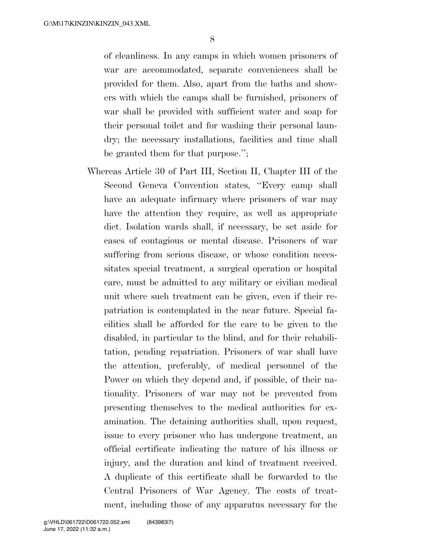of cleanliness. In any camps in which women prisoners of war are accommodated, separate conveniences shall be provided for them. Also, apart from the baths and showers with which the camps shall be furnished, prisoners of war shall be provided with sufficient water and soap for their personal toilet and for washing their personal laundry; the necessary installations, facilities and time shall be granted them for that purpose.'';

Whereas Article 30 of Part III, Section II, Chapter III of the Second Geneva Convention states, ''Every camp shall have an adequate infirmary where prisoners of war may have the attention they require, as well as appropriate diet. Isolation wards shall, if necessary, be set aside for cases of contagious or mental disease. Prisoners of war suffering from serious disease, or whose condition necessitates special treatment, a surgical operation or hospital care, must be admitted to any military or civilian medical unit where such treatment can be given, even if their repatriation is contemplated in the near future. Special facilities shall be afforded for the care to be given to the disabled, in particular to the blind, and for their rehabilitation, pending repatriation. Prisoners of war shall have the attention, preferably, of medical personnel of the Power on which they depend and, if possible, of their nationality. Prisoners of war may not be prevented from presenting themselves to the medical authorities for examination. The detaining authorities shall, upon request, issue to every prisoner who has undergone treatment, an official certificate indicating the nature of his illness or injury, and the duration and kind of treatment received. A duplicate of this certificate shall be forwarded to the Central Prisoners of War Agency. The costs of treatment, including those of any apparatus necessary for the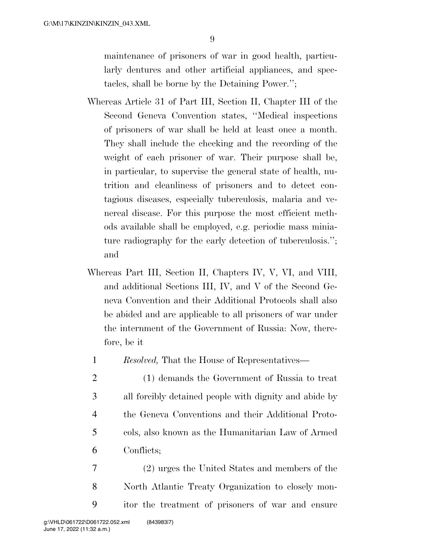maintenance of prisoners of war in good health, particularly dentures and other artificial appliances, and spectacles, shall be borne by the Detaining Power.'';

- Whereas Article 31 of Part III, Section II, Chapter III of the Second Geneva Convention states, ''Medical inspections of prisoners of war shall be held at least once a month. They shall include the checking and the recording of the weight of each prisoner of war. Their purpose shall be, in particular, to supervise the general state of health, nutrition and cleanliness of prisoners and to detect contagious diseases, especially tuberculosis, malaria and venereal disease. For this purpose the most efficient methods available shall be employed, e.g. periodic mass miniature radiography for the early detection of tuberculosis.''; and
- Whereas Part III, Section II, Chapters IV, V, VI, and VIII, and additional Sections III, IV, and V of the Second Geneva Convention and their Additional Protocols shall also be abided and are applicable to all prisoners of war under the internment of the Government of Russia: Now, therefore, be it
	- 1 *Resolved,* That the House of Representatives—
	- 2 (1) demands the Government of Russia to treat 3 all forcibly detained people with dignity and abide by 4 the Geneva Conventions and their Additional Proto-5 cols, also known as the Humanitarian Law of Armed 6 Conflicts;
- 7 (2) urges the United States and members of the 8 North Atlantic Treaty Organization to closely mon-9 itor the treatment of prisoners of war and ensure